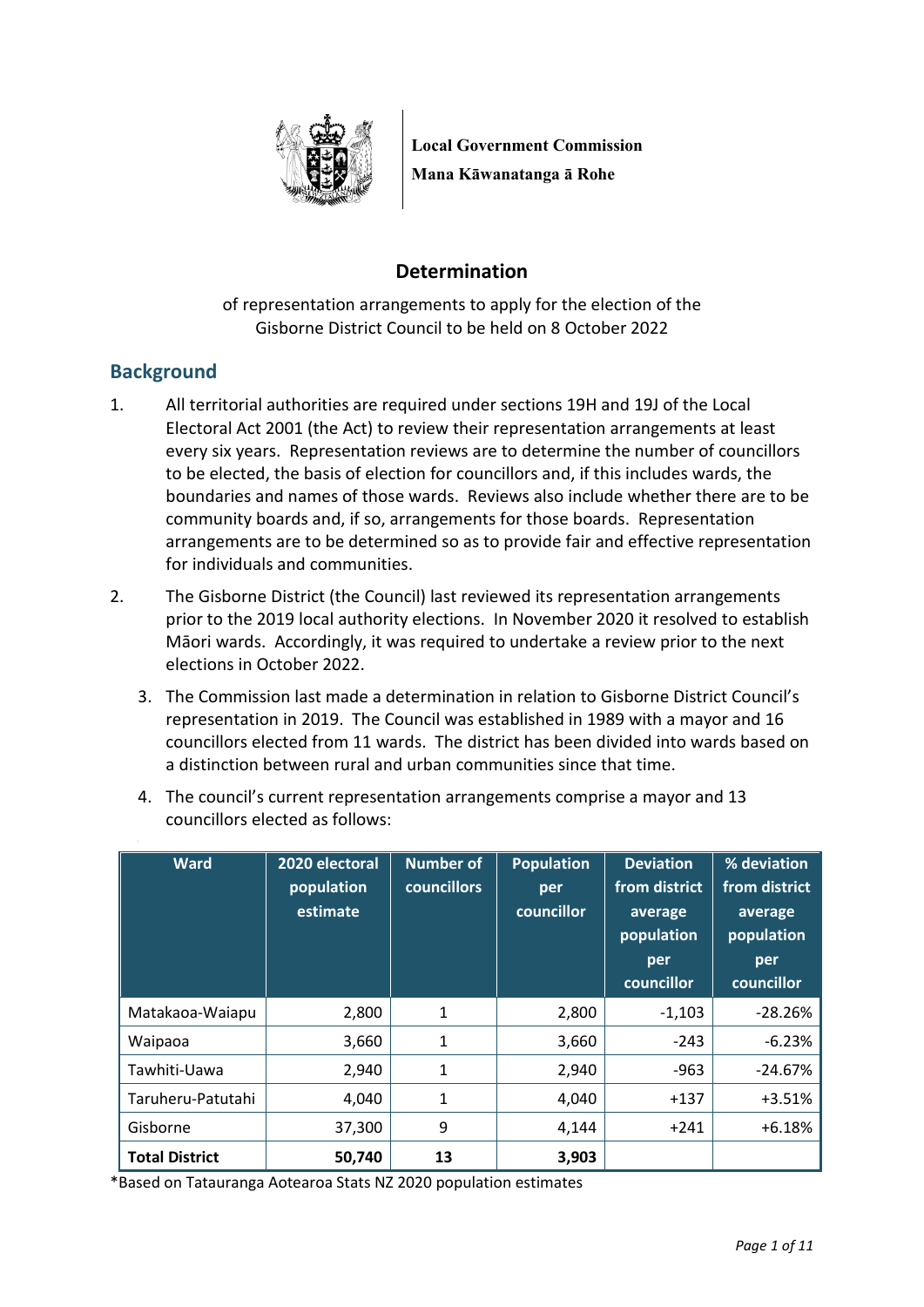

**Local Government Commission Mana Kāwanatanga ā Rohe**

# **Determination**

of representation arrangements to apply for the election of the Gisborne District Council to be held on 8 October 2022

## **Background**

- 1. All territorial authorities are required under sections 19H and 19J of the Local Electoral Act 2001 (the Act) to review their representation arrangements at least every six years. Representation reviews are to determine the number of councillors to be elected, the basis of election for councillors and, if this includes wards, the boundaries and names of those wards. Reviews also include whether there are to be community boards and, if so, arrangements for those boards. Representation arrangements are to be determined so as to provide fair and effective representation for individuals and communities.
- 2. The Gisborne District (the Council) last reviewed its representation arrangements prior to the 2019 local authority elections. In November 2020 it resolved to establish Māori wards. Accordingly, it was required to undertake a review prior to the next elections in October 2022.
	- 3. The Commission last made a determination in relation to Gisborne District Council's representation in 2019. The Council was established in 1989 with a mayor and 16 councillors elected from 11 wards. The district has been divided into wards based on a distinction between rural and urban communities since that time.

| <b>Ward</b>           | 2020 electoral<br>population<br>estimate | <b>Number of</b><br><b>councillors</b> | <b>Population</b><br>per<br>councillor | <b>Deviation</b><br>from district<br>average<br>population<br>per<br>councillor | % deviation<br>from district<br>average<br>population<br>per<br>councillor |
|-----------------------|------------------------------------------|----------------------------------------|----------------------------------------|---------------------------------------------------------------------------------|----------------------------------------------------------------------------|
| Matakaoa-Waiapu       | 2,800                                    | $\mathbf{1}$                           | 2,800                                  | $-1,103$                                                                        | $-28.26%$                                                                  |
| Waipaoa               | 3,660                                    | 1                                      | 3,660                                  | $-243$                                                                          | $-6.23%$                                                                   |
| Tawhiti-Uawa          | 2,940                                    | 1                                      | 2,940                                  | -963                                                                            | $-24.67%$                                                                  |
| Taruheru-Patutahi     | 4,040                                    | 1                                      | 4,040                                  | $+137$                                                                          | $+3.51%$                                                                   |
| Gisborne              | 37,300                                   | 9                                      | 4,144                                  | $+241$                                                                          | $+6.18%$                                                                   |
| <b>Total District</b> | 50,740                                   | 13                                     | 3,903                                  |                                                                                 |                                                                            |

4. The council's current representation arrangements comprise a mayor and 13 councillors elected as follows:

\*Based on Tatauranga Aotearoa Stats NZ 2020 population estimates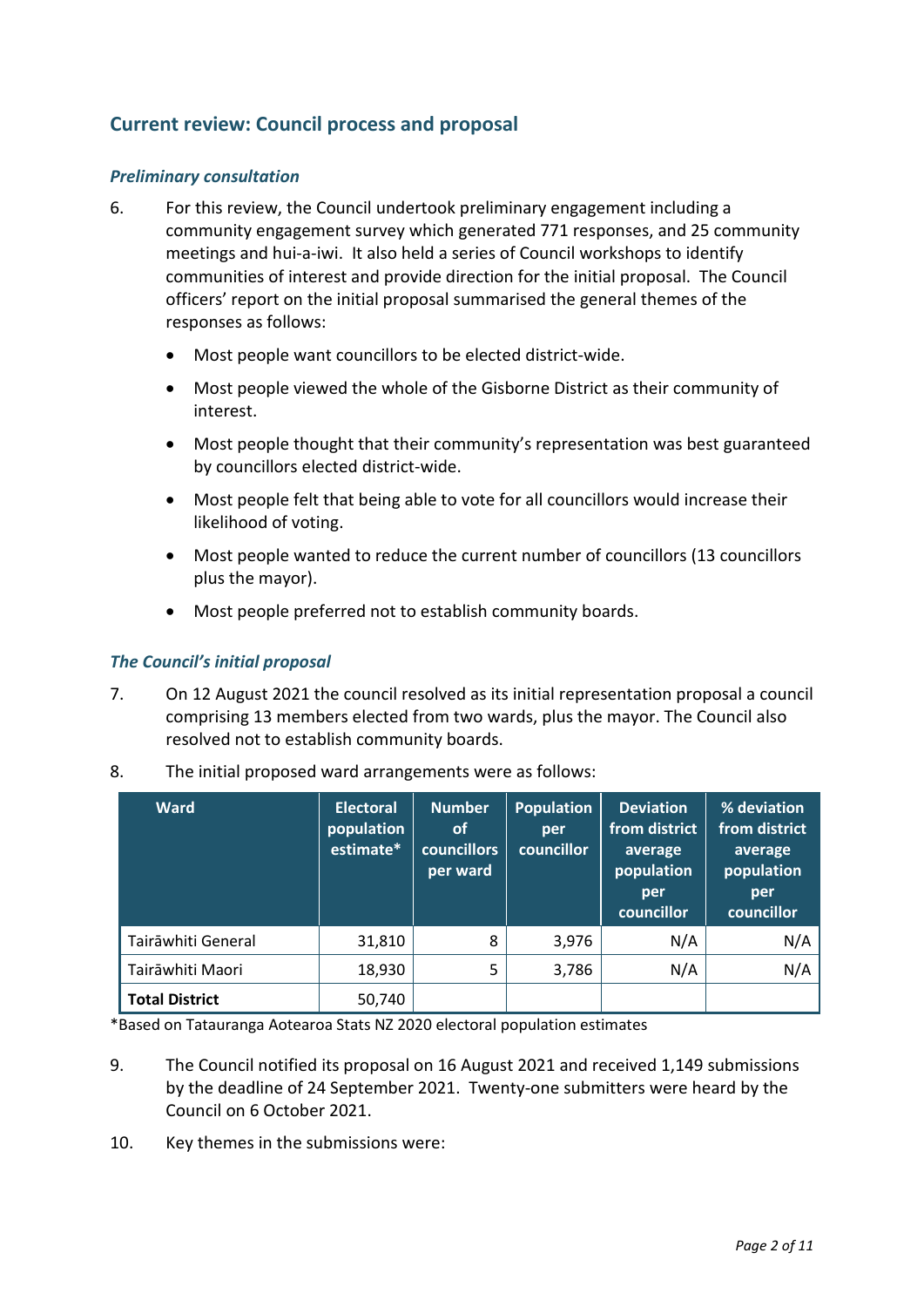## **Current review: Council process and proposal**

#### *Preliminary consultation*

- 6. For this review, the Council undertook preliminary engagement including a community engagement survey which generated 771 responses, and 25 community meetings and hui-a-iwi. It also held a series of Council workshops to identify communities of interest and provide direction for the initial proposal. The Council officers' report on the initial proposal summarised the general themes of the responses as follows:
	- Most people want councillors to be elected district-wide.
	- Most people viewed the whole of the Gisborne District as their community of interest.
	- Most people thought that their community's representation was best guaranteed by councillors elected district-wide.
	- Most people felt that being able to vote for all councillors would increase their likelihood of voting.
	- Most people wanted to reduce the current number of councillors (13 councillors plus the mayor).
	- Most people preferred not to establish community boards.

#### *The Council's initial proposal*

7. On 12 August 2021 the council resolved as its initial representation proposal a council comprising 13 members elected from two wards, plus the mayor. The Council also resolved not to establish community boards.

| <b>Ward</b>           | <b>Electoral</b><br>population<br>estimate* | <b>Number</b><br><b>of</b><br><b>councillors</b><br>per ward | <b>Population</b><br>per<br>councillor | <b>Deviation</b><br>from district<br>average<br>population<br>per<br>councillor | % deviation<br>from district<br>average<br>population<br>per<br>councillor |
|-----------------------|---------------------------------------------|--------------------------------------------------------------|----------------------------------------|---------------------------------------------------------------------------------|----------------------------------------------------------------------------|
| Tairāwhiti General    | 31,810                                      | 8                                                            | 3,976                                  | N/A                                                                             | N/A                                                                        |
| Tairāwhiti Maori      | 18,930                                      | 5                                                            | 3,786                                  | N/A                                                                             | N/A                                                                        |
| <b>Total District</b> | 50,740                                      |                                                              |                                        |                                                                                 |                                                                            |

8. The initial proposed ward arrangements were as follows:

\*Based on Tatauranga Aotearoa Stats NZ 2020 electoral population estimates

- 9. The Council notified its proposal on 16 August 2021 and received 1,149 submissions by the deadline of 24 September 2021. Twenty-one submitters were heard by the Council on 6 October 2021.
- 10. Key themes in the submissions were: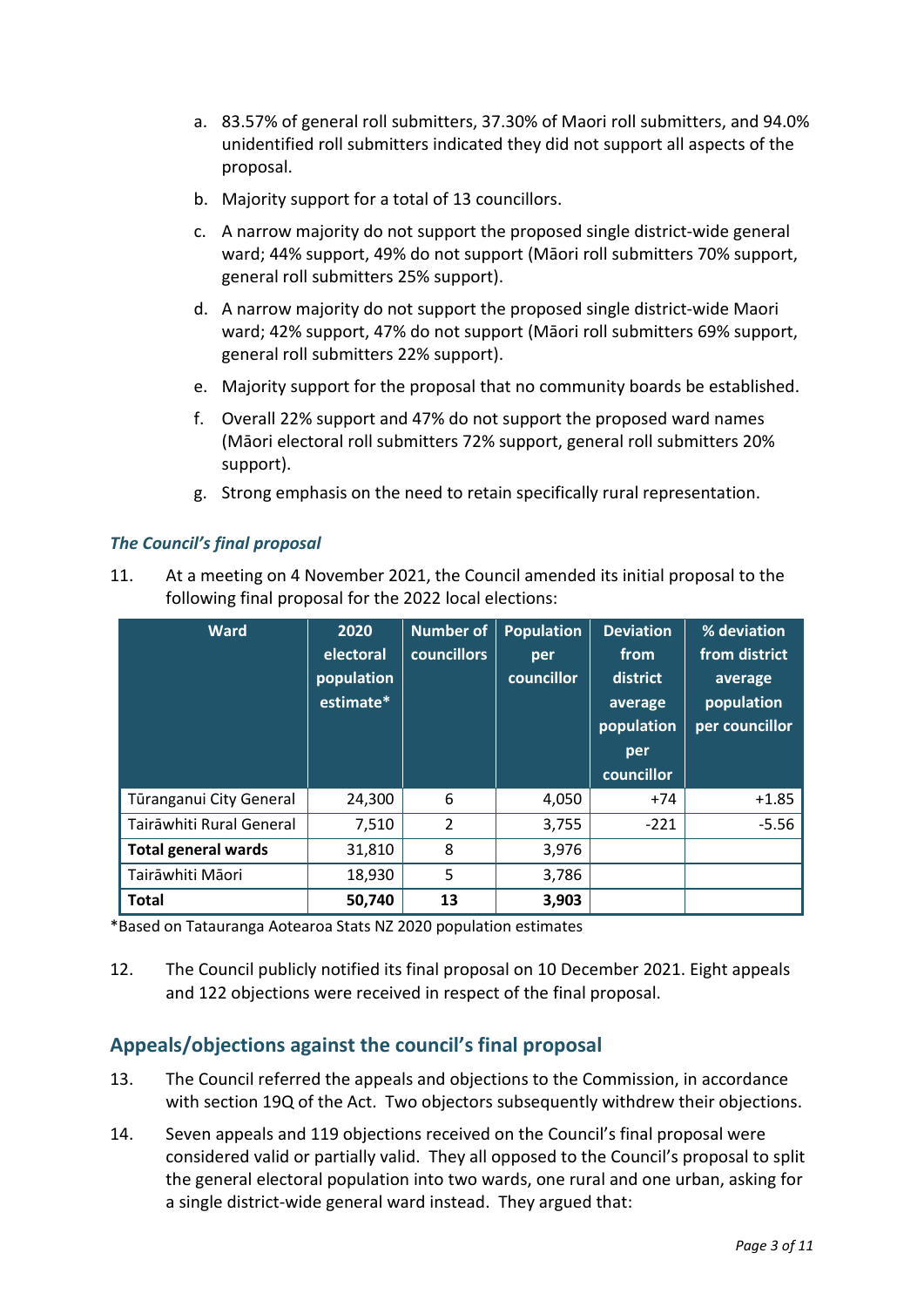- a. 83.57% of general roll submitters, 37.30% of Maori roll submitters, and 94.0% unidentified roll submitters indicated they did not support all aspects of the proposal.
- b. Majority support for a total of 13 councillors.
- c. A narrow majority do not support the proposed single district-wide general ward; 44% support, 49% do not support (Māori roll submitters 70% support, general roll submitters 25% support).
- d. A narrow majority do not support the proposed single district-wide Maori ward; 42% support, 47% do not support (Māori roll submitters 69% support, general roll submitters 22% support).
- e. Majority support for the proposal that no community boards be established.
- f. Overall 22% support and 47% do not support the proposed ward names (Māori electoral roll submitters 72% support, general roll submitters 20% support).
- g. Strong emphasis on the need to retain specifically rural representation.

### *The Council's final proposal*

11. At a meeting on 4 November 2021, the Council amended its initial proposal to the following final proposal for the 2022 local elections:

| <b>Ward</b>                | 2020<br>electoral<br>population<br>estimate* | Number of<br><b>councillors</b> | <b>Population</b><br>per<br>councillor | <b>Deviation</b><br>from<br>district<br>average<br>population<br>per<br>councillor | % deviation<br>from district<br>average<br>population<br>per councillor |
|----------------------------|----------------------------------------------|---------------------------------|----------------------------------------|------------------------------------------------------------------------------------|-------------------------------------------------------------------------|
| Tūranganui City General    | 24,300                                       | 6                               | 4,050                                  | $+74$                                                                              | $+1.85$                                                                 |
| Tairāwhiti Rural General   | 7,510                                        | $\overline{2}$                  | 3,755                                  | $-221$                                                                             | $-5.56$                                                                 |
| <b>Total general wards</b> | 31,810                                       | 8                               | 3,976                                  |                                                                                    |                                                                         |
| Tairāwhiti Māori           | 18,930                                       | 5                               | 3,786                                  |                                                                                    |                                                                         |
| <b>Total</b>               | 50,740                                       | 13                              | 3,903                                  |                                                                                    |                                                                         |

\*Based on Tatauranga Aotearoa Stats NZ 2020 population estimates

12. The Council publicly notified its final proposal on 10 December 2021. Eight appeals and 122 objections were received in respect of the final proposal.

## **Appeals/objections against the council's final proposal**

- 13. The Council referred the appeals and objections to the Commission, in accordance with section 19Q of the Act. Two objectors subsequently withdrew their objections.
- 14. Seven appeals and 119 objections received on the Council's final proposal were considered valid or partially valid. They all opposed to the Council's proposal to split the general electoral population into two wards, one rural and one urban, asking for a single district-wide general ward instead. They argued that: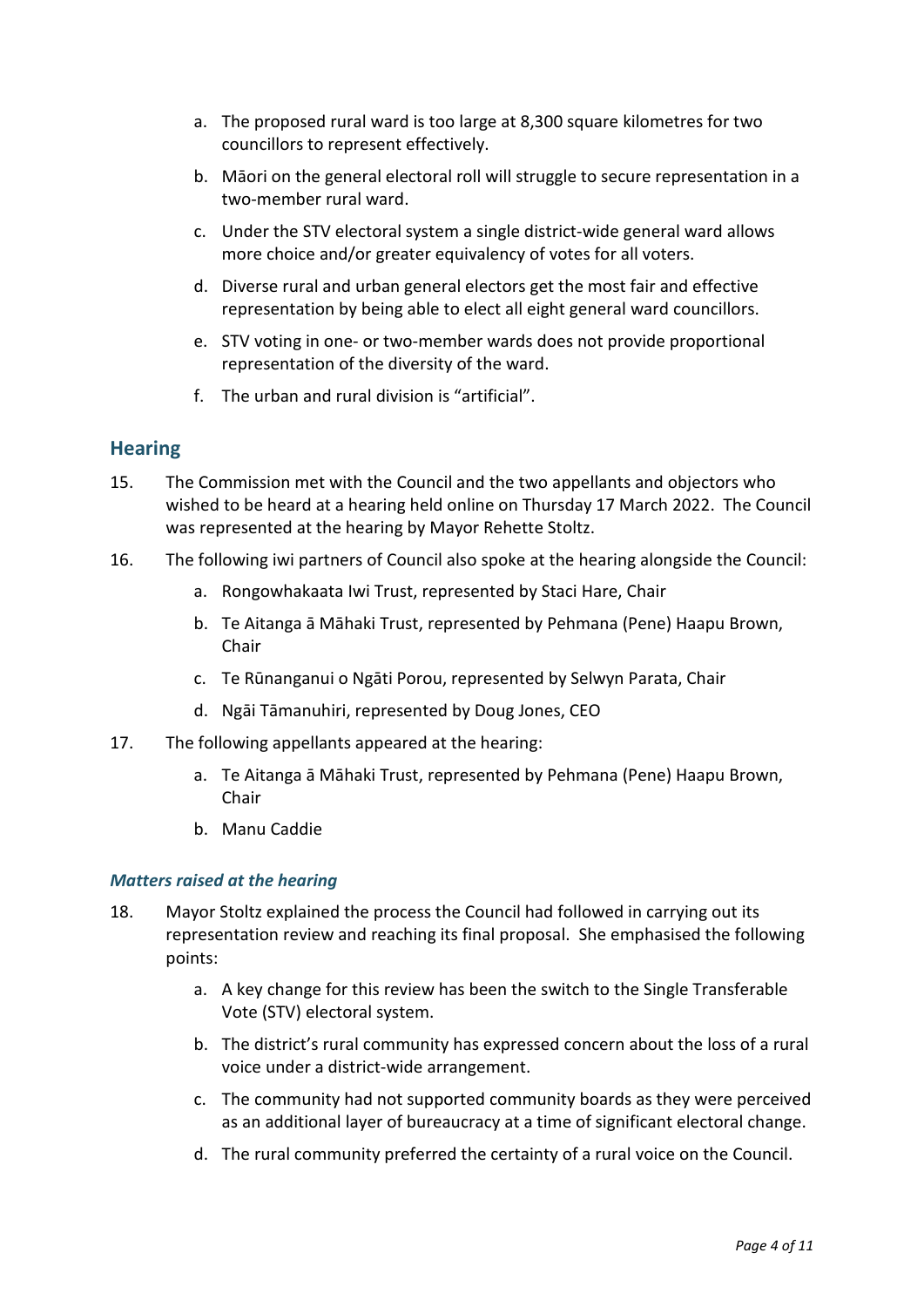- a. The proposed rural ward is too large at 8,300 square kilometres for two councillors to represent effectively.
- b. Māori on the general electoral roll will struggle to secure representation in a two-member rural ward.
- c. Under the STV electoral system a single district-wide general ward allows more choice and/or greater equivalency of votes for all voters.
- d. Diverse rural and urban general electors get the most fair and effective representation by being able to elect all eight general ward councillors.
- e. STV voting in one- or two-member wards does not provide proportional representation of the diversity of the ward.
- f. The urban and rural division is "artificial".

## **Hearing**

- 15. The Commission met with the Council and the two appellants and objectors who wished to be heard at a hearing held online on Thursday 17 March 2022. The Council was represented at the hearing by Mayor Rehette Stoltz.
- 16. The following iwi partners of Council also spoke at the hearing alongside the Council:
	- a. Rongowhakaata Iwi Trust, represented by Staci Hare, Chair
	- b. Te Aitanga ā Māhaki Trust, represented by Pehmana (Pene) Haapu Brown, Chair
	- c. Te Rūnanganui o Ngāti Porou, represented by Selwyn Parata, Chair
	- d. Ngāi Tāmanuhiri, represented by Doug Jones, CEO
- 17. The following appellants appeared at the hearing:
	- a. Te Aitanga ā Māhaki Trust, represented by Pehmana (Pene) Haapu Brown, Chair
	- b. Manu Caddie

#### *Matters raised at the hearing*

- 18. Mayor Stoltz explained the process the Council had followed in carrying out its representation review and reaching its final proposal. She emphasised the following points:
	- a. A key change for this review has been the switch to the Single Transferable Vote (STV) electoral system.
	- b. The district's rural community has expressed concern about the loss of a rural voice under a district-wide arrangement.
	- c. The community had not supported community boards as they were perceived as an additional layer of bureaucracy at a time of significant electoral change.
	- d. The rural community preferred the certainty of a rural voice on the Council.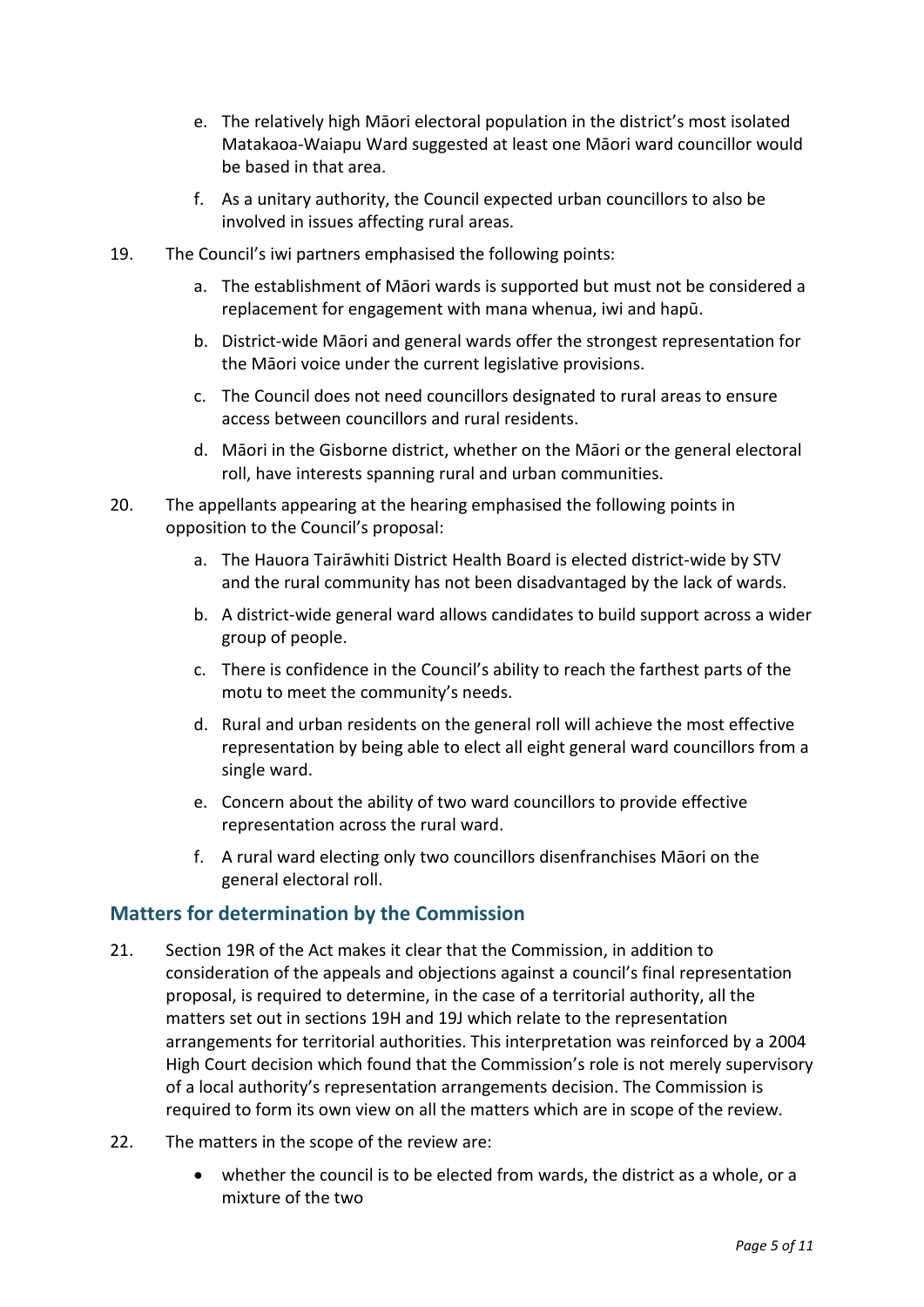- e. The relatively high Māori electoral population in the district's most isolated Matakaoa-Waiapu Ward suggested at least one Māori ward councillor would be based in that area.
- f. As a unitary authority, the Council expected urban councillors to also be involved in issues affecting rural areas.
- 19. The Council's iwi partners emphasised the following points:
	- a. The establishment of Māori wards is supported but must not be considered a replacement for engagement with mana whenua, iwi and hapū.
	- b. District-wide Māori and general wards offer the strongest representation for the Māori voice under the current legislative provisions.
	- c. The Council does not need councillors designated to rural areas to ensure access between councillors and rural residents.
	- d. Māori in the Gisborne district, whether on the Māori or the general electoral roll, have interests spanning rural and urban communities.
- 20. The appellants appearing at the hearing emphasised the following points in opposition to the Council's proposal:
	- a. The Hauora Tairāwhiti District Health Board is elected district-wide by STV and the rural community has not been disadvantaged by the lack of wards.
	- b. A district-wide general ward allows candidates to build support across a wider group of people.
	- c. There is confidence in the Council's ability to reach the farthest parts of the motu to meet the community's needs.
	- d. Rural and urban residents on the general roll will achieve the most effective representation by being able to elect all eight general ward councillors from a single ward.
	- e. Concern about the ability of two ward councillors to provide effective representation across the rural ward.
	- f. A rural ward electing only two councillors disenfranchises Māori on the general electoral roll.

## **Matters for determination by the Commission**

- 21. Section 19R of the Act makes it clear that the Commission, in addition to consideration of the appeals and objections against a council's final representation proposal, is required to determine, in the case of a territorial authority, all the matters set out in sections 19H and 19J which relate to the representation arrangements for territorial authorities. This interpretation was reinforced by a 2004 High Court decision which found that the Commission's role is not merely supervisory of a local authority's representation arrangements decision. The Commission is required to form its own view on all the matters which are in scope of the review.
- 22. The matters in the scope of the review are:
	- whether the council is to be elected from wards, the district as a whole, or a mixture of the two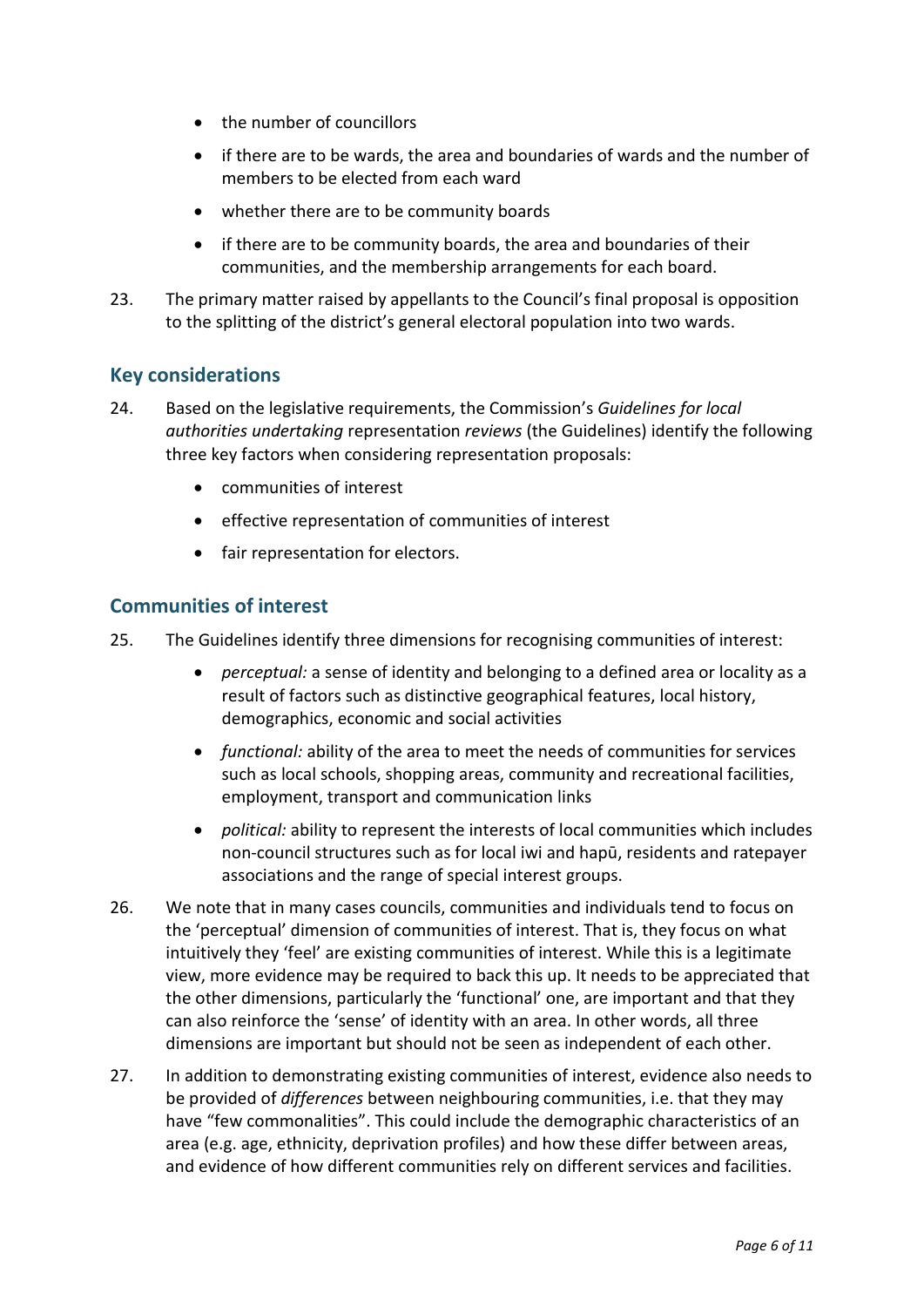- the number of councillors
- if there are to be wards, the area and boundaries of wards and the number of members to be elected from each ward
- whether there are to be community boards
- if there are to be community boards, the area and boundaries of their communities, and the membership arrangements for each board.
- 23. The primary matter raised by appellants to the Council's final proposal is opposition to the splitting of the district's general electoral population into two wards.

#### **Key considerations**

- 24. Based on the legislative requirements, the Commission's *Guidelines for local authorities undertaking* representation *reviews* (the Guidelines) identify the following three key factors when considering representation proposals:
	- communities of interest
	- effective representation of communities of interest
	- fair representation for electors.

#### **Communities of interest**

- 25. The Guidelines identify three dimensions for recognising communities of interest:
	- *perceptual:* a sense of identity and belonging to a defined area or locality as a result of factors such as distinctive geographical features, local history, demographics, economic and social activities
	- *functional:* ability of the area to meet the needs of communities for services such as local schools, shopping areas, community and recreational facilities, employment, transport and communication links
	- *political:* ability to represent the interests of local communities which includes non-council structures such as for local iwi and hapū, residents and ratepayer associations and the range of special interest groups.
- 26. We note that in many cases councils, communities and individuals tend to focus on the 'perceptual' dimension of communities of interest. That is, they focus on what intuitively they 'feel' are existing communities of interest. While this is a legitimate view, more evidence may be required to back this up. It needs to be appreciated that the other dimensions, particularly the 'functional' one, are important and that they can also reinforce the 'sense' of identity with an area. In other words, all three dimensions are important but should not be seen as independent of each other.
- 27. In addition to demonstrating existing communities of interest, evidence also needs to be provided of *differences* between neighbouring communities, i.e. that they may have "few commonalities". This could include the demographic characteristics of an area (e.g. age, ethnicity, deprivation profiles) and how these differ between areas, and evidence of how different communities rely on different services and facilities.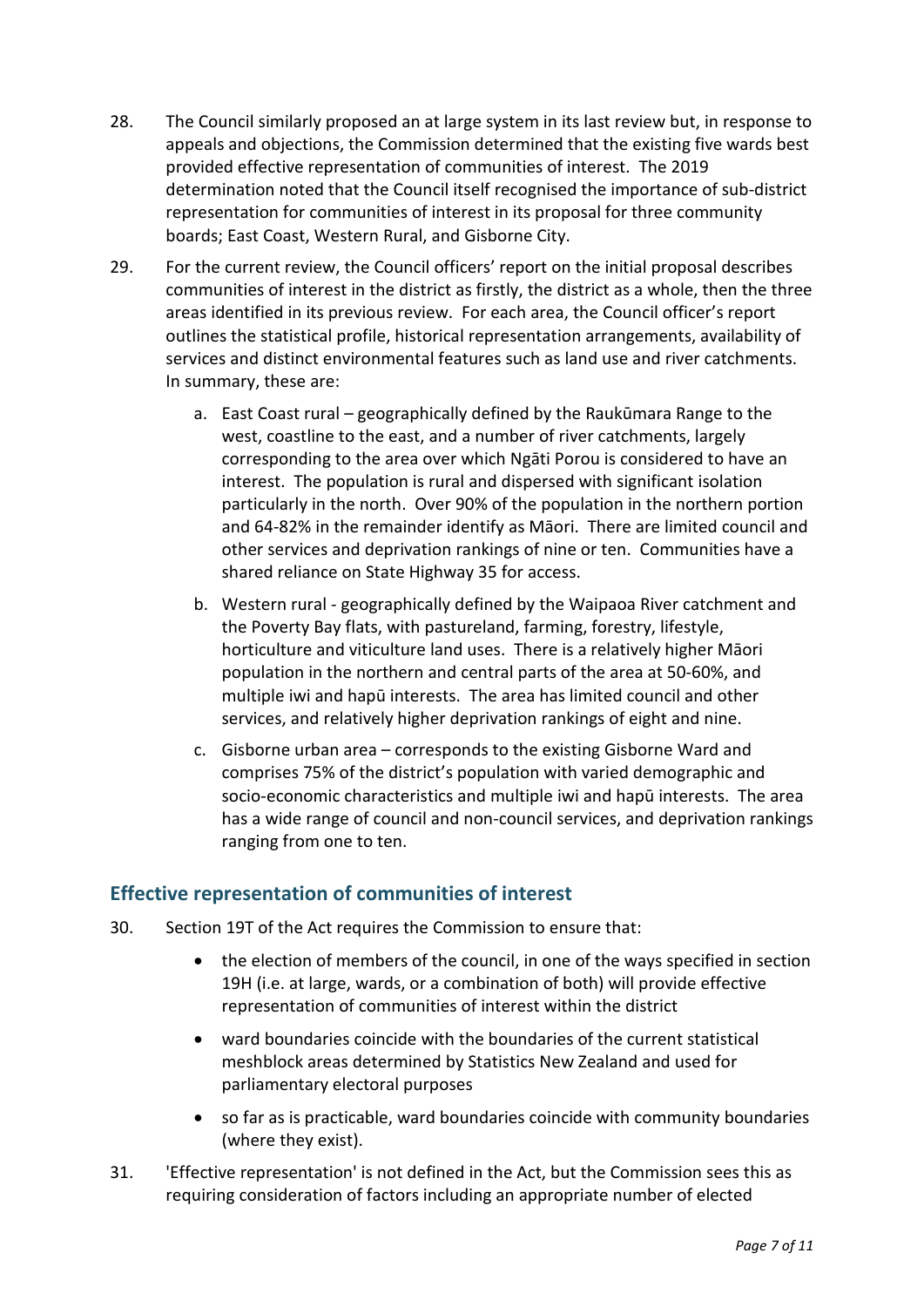- 28. The Council similarly proposed an at large system in its last review but, in response to appeals and objections, the Commission determined that the existing five wards best provided effective representation of communities of interest. The 2019 determination noted that the Council itself recognised the importance of sub-district representation for communities of interest in its proposal for three community boards; East Coast, Western Rural, and Gisborne City.
- 29. For the current review, the Council officers' report on the initial proposal describes communities of interest in the district as firstly, the district as a whole, then the three areas identified in its previous review. For each area, the Council officer's report outlines the statistical profile, historical representation arrangements, availability of services and distinct environmental features such as land use and river catchments. In summary, these are:
	- a. East Coast rural geographically defined by the Raukūmara Range to the west, coastline to the east, and a number of river catchments, largely corresponding to the area over which Ngāti Porou is considered to have an interest. The population is rural and dispersed with significant isolation particularly in the north. Over 90% of the population in the northern portion and 64-82% in the remainder identify as Māori. There are limited council and other services and deprivation rankings of nine or ten. Communities have a shared reliance on State Highway 35 for access.
	- b. Western rural geographically defined by the Waipaoa River catchment and the Poverty Bay flats, with pastureland, farming, forestry, lifestyle, horticulture and viticulture land uses. There is a relatively higher Māori population in the northern and central parts of the area at 50-60%, and multiple iwi and hapū interests. The area has limited council and other services, and relatively higher deprivation rankings of eight and nine.
	- c. Gisborne urban area corresponds to the existing Gisborne Ward and comprises 75% of the district's population with varied demographic and socio-economic characteristics and multiple iwi and hapū interests. The area has a wide range of council and non-council services, and deprivation rankings ranging from one to ten.

## **Effective representation of communities of interest**

- 30. Section 19T of the Act requires the Commission to ensure that:
	- the election of members of the council, in one of the ways specified in section 19H (i.e. at large, wards, or a combination of both) will provide effective representation of communities of interest within the district
	- ward boundaries coincide with the boundaries of the current statistical meshblock areas determined by Statistics New Zealand and used for parliamentary electoral purposes
	- so far as is practicable, ward boundaries coincide with community boundaries (where they exist).
- 31. 'Effective representation' is not defined in the Act, but the Commission sees this as requiring consideration of factors including an appropriate number of elected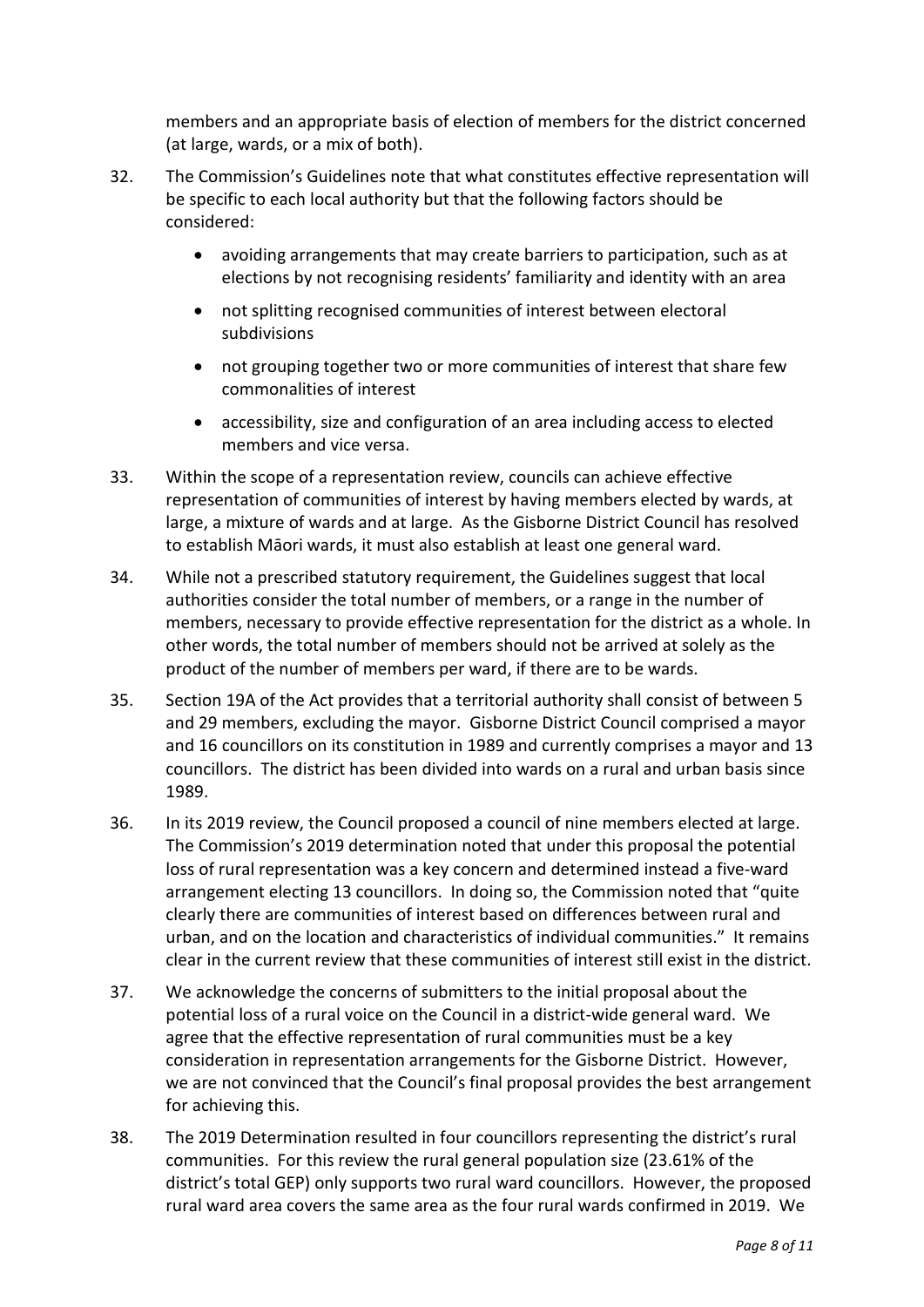members and an appropriate basis of election of members for the district concerned (at large, wards, or a mix of both).

- 32. The Commission's Guidelines note that what constitutes effective representation will be specific to each local authority but that the following factors should be considered:
	- avoiding arrangements that may create barriers to participation, such as at elections by not recognising residents' familiarity and identity with an area
	- not splitting recognised communities of interest between electoral subdivisions
	- not grouping together two or more communities of interest that share few commonalities of interest
	- accessibility, size and configuration of an area including access to elected members and vice versa.
- 33. Within the scope of a representation review, councils can achieve effective representation of communities of interest by having members elected by wards, at large, a mixture of wards and at large. As the Gisborne District Council has resolved to establish Māori wards, it must also establish at least one general ward.
- 34. While not a prescribed statutory requirement, the Guidelines suggest that local authorities consider the total number of members, or a range in the number of members, necessary to provide effective representation for the district as a whole. In other words, the total number of members should not be arrived at solely as the product of the number of members per ward, if there are to be wards.
- 35. Section 19A of the Act provides that a territorial authority shall consist of between 5 and 29 members, excluding the mayor. Gisborne District Council comprised a mayor and 16 councillors on its constitution in 1989 and currently comprises a mayor and 13 councillors. The district has been divided into wards on a rural and urban basis since 1989.
- 36. In its 2019 review, the Council proposed a council of nine members elected at large. The Commission's 2019 determination noted that under this proposal the potential loss of rural representation was a key concern and determined instead a five-ward arrangement electing 13 councillors. In doing so, the Commission noted that "quite clearly there are communities of interest based on differences between rural and urban, and on the location and characteristics of individual communities." It remains clear in the current review that these communities of interest still exist in the district.
- 37. We acknowledge the concerns of submitters to the initial proposal about the potential loss of a rural voice on the Council in a district-wide general ward. We agree that the effective representation of rural communities must be a key consideration in representation arrangements for the Gisborne District. However, we are not convinced that the Council's final proposal provides the best arrangement for achieving this.
- 38. The 2019 Determination resulted in four councillors representing the district's rural communities. For this review the rural general population size (23.61% of the district's total GEP) only supports two rural ward councillors. However, the proposed rural ward area covers the same area as the four rural wards confirmed in 2019. We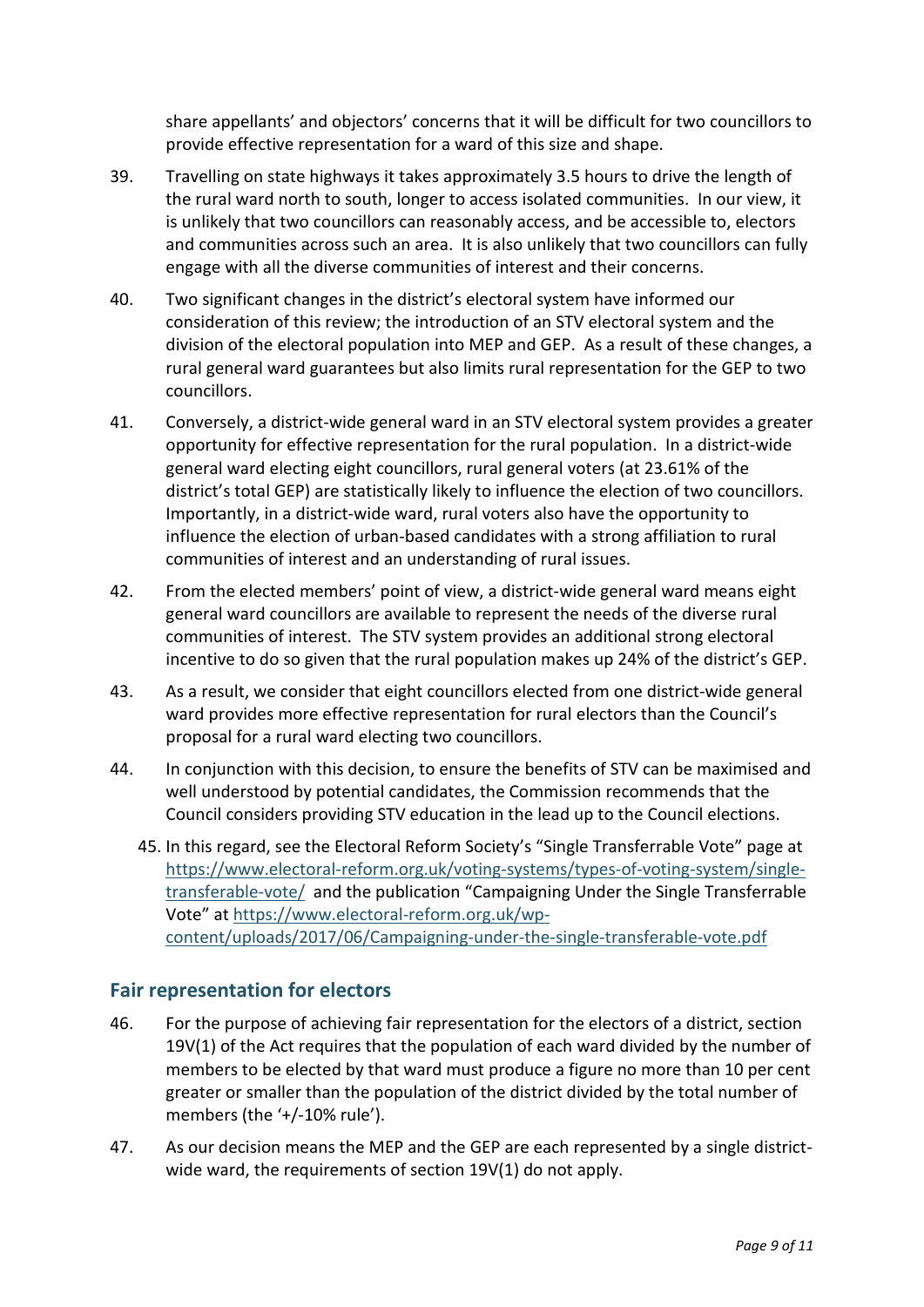share appellants' and objectors' concerns that it will be difficult for two councillors to provide effective representation for a ward of this size and shape.

- 39. Travelling on state highways it takes approximately 3.5 hours to drive the length of the rural ward north to south, longer to access isolated communities. In our view, it is unlikely that two councillors can reasonably access, and be accessible to, electors and communities across such an area. It is also unlikely that two councillors can fully engage with all the diverse communities of interest and their concerns.
- 40. Two significant changes in the district's electoral system have informed our consideration of this review; the introduction of an STV electoral system and the division of the electoral population into MEP and GEP. As a result of these changes, a rural general ward guarantees but also limits rural representation for the GEP to two councillors.
- 41. Conversely, a district-wide general ward in an STV electoral system provides a greater opportunity for effective representation for the rural population. In a district-wide general ward electing eight councillors, rural general voters (at 23.61% of the district's total GEP) are statistically likely to influence the election of two councillors. Importantly, in a district-wide ward, rural voters also have the opportunity to influence the election of urban-based candidates with a strong affiliation to rural communities of interest and an understanding of rural issues.
- 42. From the elected members' point of view, a district-wide general ward means eight general ward councillors are available to represent the needs of the diverse rural communities of interest. The STV system provides an additional strong electoral incentive to do so given that the rural population makes up 24% of the district's GEP.
- 43. As a result, we consider that eight councillors elected from one district-wide general ward provides more effective representation for rural electors than the Council's proposal for a rural ward electing two councillors.
- 44. In conjunction with this decision, to ensure the benefits of STV can be maximised and well understood by potential candidates, the Commission recommends that the Council considers providing STV education in the lead up to the Council elections.
	- 45. In this regard, see the Electoral Reform Society's "Single Transferrable Vote" page at [https://www.electoral-reform.org.uk/voting-systems/types-of-voting-system/single](https://www.electoral-reform.org.uk/voting-systems/types-of-voting-system/single-transferable-vote/)[transferable-vote/](https://www.electoral-reform.org.uk/voting-systems/types-of-voting-system/single-transferable-vote/) and the publication "Campaigning Under the Single Transferrable Vote" at [https://www.electoral-reform.org.uk/wp](https://www.electoral-reform.org.uk/wp-content/uploads/2017/06/Campaigning-under-the-single-transferable-vote.pdf)[content/uploads/2017/06/Campaigning-under-the-single-transferable-vote.pdf](https://www.electoral-reform.org.uk/wp-content/uploads/2017/06/Campaigning-under-the-single-transferable-vote.pdf)

#### **Fair representation for electors**

- 46. For the purpose of achieving fair representation for the electors of a district, section 19V(1) of the Act requires that the population of each ward divided by the number of members to be elected by that ward must produce a figure no more than 10 per cent greater or smaller than the population of the district divided by the total number of members (the '+/-10% rule').
- 47. As our decision means the MEP and the GEP are each represented by a single districtwide ward, the requirements of section 19V(1) do not apply.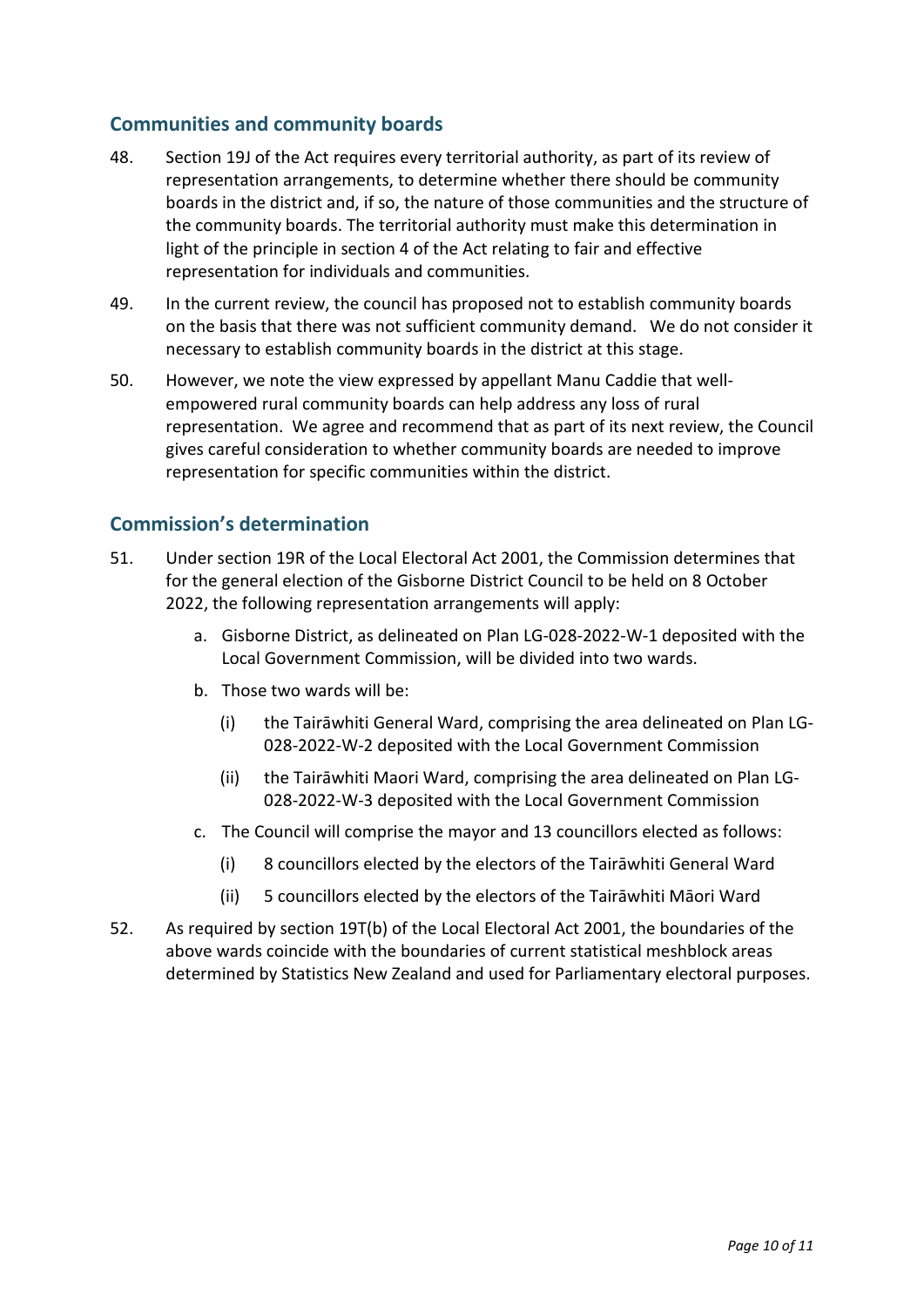### **Communities and community boards**

- 48. Section 19J of the Act requires every territorial authority, as part of its review of representation arrangements, to determine whether there should be community boards in the district and, if so, the nature of those communities and the structure of the community boards. The territorial authority must make this determination in light of the principle in section 4 of the Act relating to fair and effective representation for individuals and communities.
- 49. In the current review, the council has proposed not to establish community boards on the basis that there was not sufficient community demand. We do not consider it necessary to establish community boards in the district at this stage.
- 50. However, we note the view expressed by appellant Manu Caddie that wellempowered rural community boards can help address any loss of rural representation. We agree and recommend that as part of its next review, the Council gives careful consideration to whether community boards are needed to improve representation for specific communities within the district.

### **Commission's determination**

- 51. Under section 19R of the Local Electoral Act 2001, the Commission determines that for the general election of the Gisborne District Council to be held on 8 October 2022, the following representation arrangements will apply:
	- a. Gisborne District, as delineated on Plan LG-028-2022-W-1 deposited with the Local Government Commission, will be divided into two wards.
	- b. Those two wards will be:
		- (i) the Tairāwhiti General Ward, comprising the area delineated on Plan LG-028-2022-W-2 deposited with the Local Government Commission
		- (ii) the Tairāwhiti Maori Ward, comprising the area delineated on Plan LG-028-2022-W-3 deposited with the Local Government Commission
	- c. The Council will comprise the mayor and 13 councillors elected as follows:
		- (i) 8 councillors elected by the electors of the Tairāwhiti General Ward
		- (ii) 5 councillors elected by the electors of the Tairāwhiti Māori Ward
- 52. As required by section 19T(b) of the Local Electoral Act 2001, the boundaries of the above wards coincide with the boundaries of current statistical meshblock areas determined by Statistics New Zealand and used for Parliamentary electoral purposes.